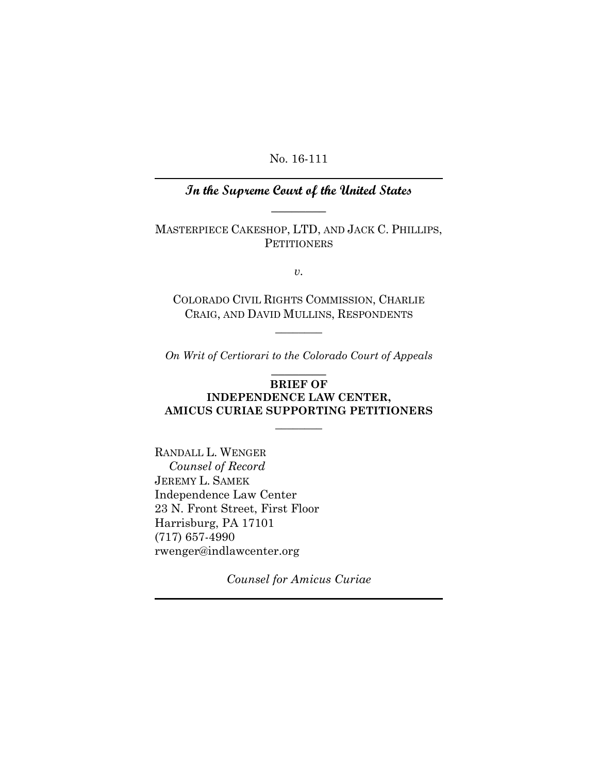No. 16-111

# **In the Supreme Court of the United States**   $\overline{\phantom{a}}$

MASTERPIECE CAKESHOP, LTD, AND JACK C. PHILLIPS, **PETITIONERS** 

*v.* 

COLORADO CIVIL RIGHTS COMMISSION, CHARLIE CRAIG, AND DAVID MULLINS, RESPONDENTS

 $\overline{\phantom{a}}$ 

*On Writ of Certiorari to the Colorado Court of Appeals* 

## $\overline{\phantom{a}}$ **BRIEF OF**

### **INDEPENDENCE LAW CENTER, AMICUS CURIAE SUPPORTING PETITIONERS**

 $\overline{\phantom{a}}$ 

RANDALL L. WENGER  *Counsel of Record*  JEREMY L. SAMEK Independence Law Center 23 N. Front Street, First Floor Harrisburg, PA 17101 (717) 657-4990 rwenger@indlawcenter.org

*Counsel for Amicus Curiae*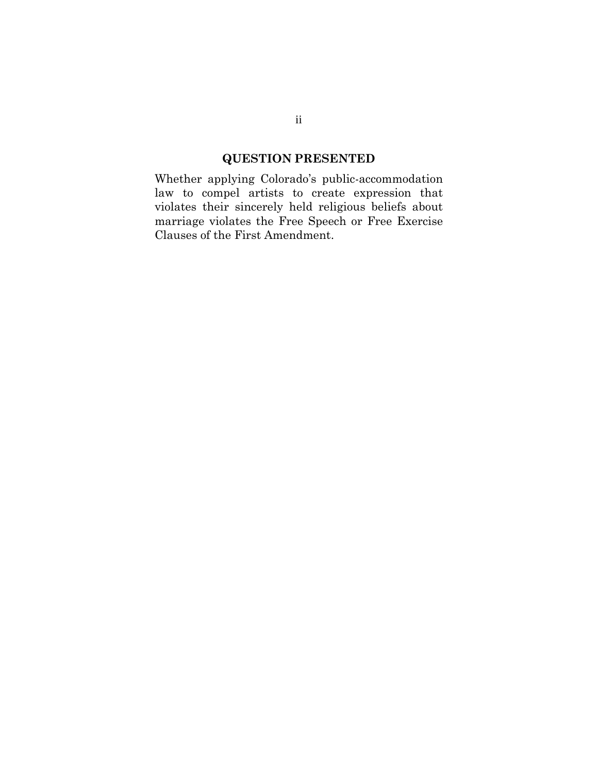# **QUESTION PRESENTED**

Whether applying Colorado's public-accommodation law to compel artists to create expression that violates their sincerely held religious beliefs about marriage violates the Free Speech or Free Exercise Clauses of the First Amendment.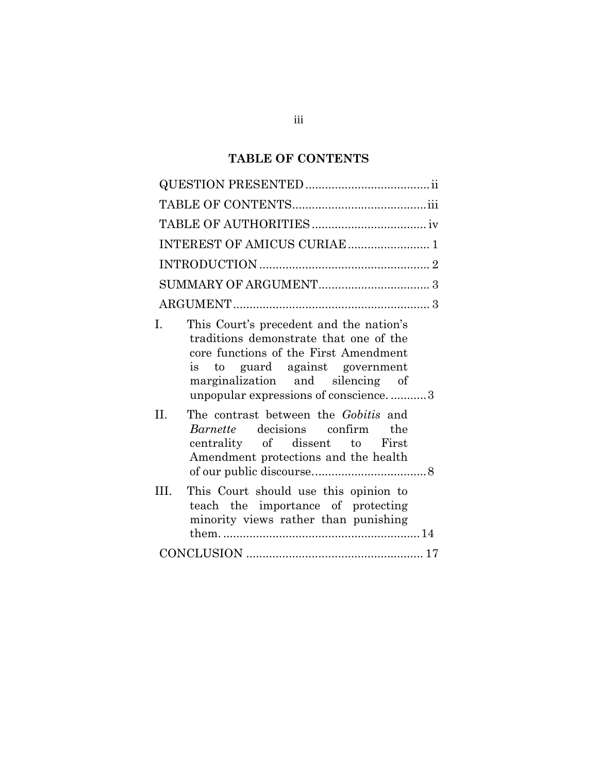# **TABLE OF CONTENTS**

| INTEREST OF AMICUS CURIAE  1                                                                                                                                                                                                                                                                            |
|---------------------------------------------------------------------------------------------------------------------------------------------------------------------------------------------------------------------------------------------------------------------------------------------------------|
|                                                                                                                                                                                                                                                                                                         |
|                                                                                                                                                                                                                                                                                                         |
|                                                                                                                                                                                                                                                                                                         |
| This Court's precedent and the nation's<br>$\mathbf{L}$<br>traditions demonstrate that one of the<br>core functions of the First Amendment<br>is to guard against government<br>marginalization and silencing of<br>unpopular expressions of conscience3<br>II.<br>The contrast between the Gobitis and |
| <i>Barnette</i> decisions confirm the<br>centrality of dissent to First<br>Amendment protections and the health                                                                                                                                                                                         |
| This Court should use this opinion to<br>HI.<br>teach the importance of protecting<br>minority views rather than punishing                                                                                                                                                                              |
|                                                                                                                                                                                                                                                                                                         |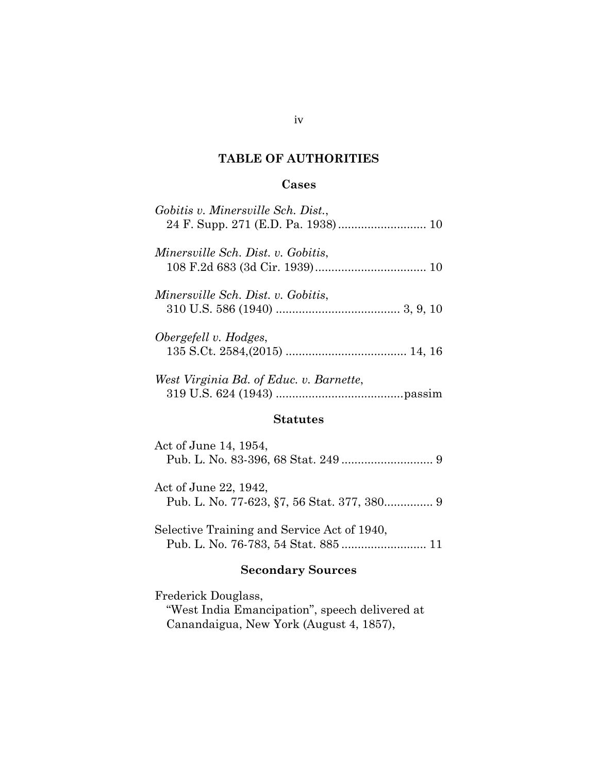### **TABLE OF AUTHORITIES**

### **Cases**

| Gobitis v. Minersville Sch. Dist.,      |
|-----------------------------------------|
| Minersville Sch. Dist. v. Gobitis,      |
| Minersville Sch. Dist. v. Gobitis,      |
| Obergefell v. Hodges,                   |
| West Virginia Bd. of Educ. v. Barnette, |
|                                         |

#### **Statutes**

| Act of June 14, 1954, |  |
|-----------------------|--|
| Act of June 22, 1942, |  |

Selective Training and Service Act of 1940, Pub. L. No. 76-783, 54 Stat. 885 .......................... 11

# **Secondary Sources**

Frederick Douglass, "West India Emancipation", speech delivered at Canandaigua, New York (August 4, 1857),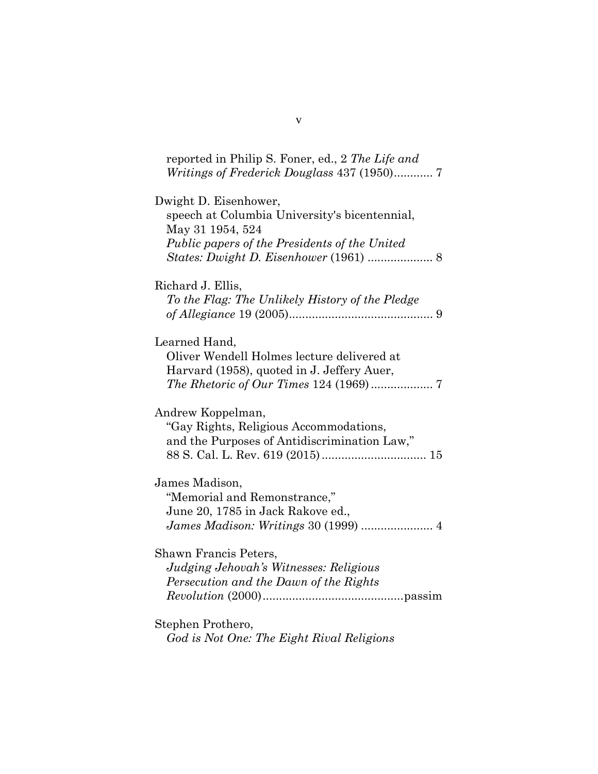reported in Philip S. Foner, ed., 2 *The Life and Writings of Frederick Douglass* 437 (1950)............ 7

| Dwight D. Eisenhower,<br>speech at Columbia University's bicentennial,<br>May 31 1954, 524<br>Public papers of the Presidents of the United |
|---------------------------------------------------------------------------------------------------------------------------------------------|
|                                                                                                                                             |
| Richard J. Ellis,                                                                                                                           |
| To the Flag: The Unlikely History of the Pledge                                                                                             |
|                                                                                                                                             |
| Learned Hand,                                                                                                                               |
| Oliver Wendell Holmes lecture delivered at                                                                                                  |
| Harvard (1958), quoted in J. Jeffery Auer,                                                                                                  |
|                                                                                                                                             |
| Andrew Koppelman,                                                                                                                           |
| "Gay Rights, Religious Accommodations,                                                                                                      |
| and the Purposes of Antidiscrimination Law,"                                                                                                |
|                                                                                                                                             |
| James Madison,                                                                                                                              |
| "Memorial and Remonstrance,"                                                                                                                |
| June 20, 1785 in Jack Rakove ed.,                                                                                                           |
| James Madison: Writings 30 (1999)  4                                                                                                        |
| Shawn Francis Peters,                                                                                                                       |
| Judging Jehovah's Witnesses: Religious                                                                                                      |
| Persecution and the Dawn of the Rights                                                                                                      |
|                                                                                                                                             |
| Stephen Prothero,                                                                                                                           |
| God is Not One: The Eight Rival Religions                                                                                                   |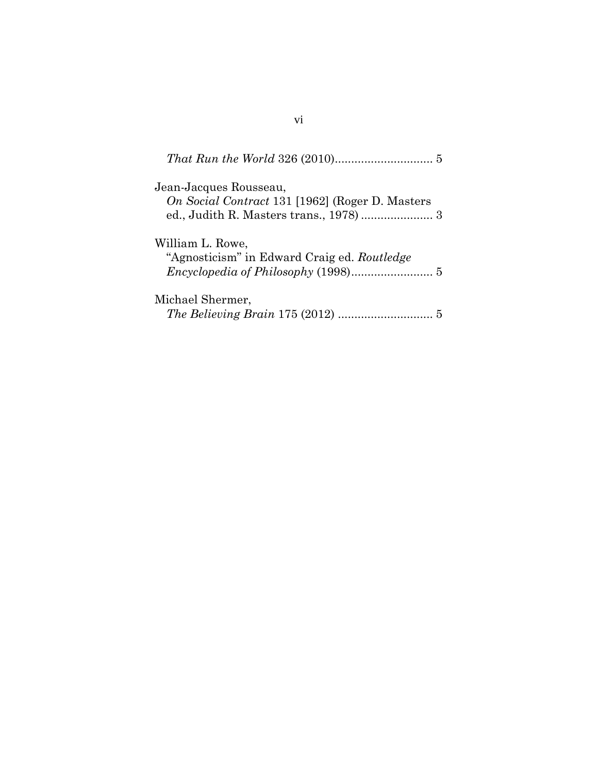| Jean-Jacques Rousseau,<br>On Social Contract 131 [1962] (Roger D. Masters |  |
|---------------------------------------------------------------------------|--|
| William L. Rowe,<br>"Agnosticism" in Edward Craig ed. Routledge           |  |
| Michael Shermer,                                                          |  |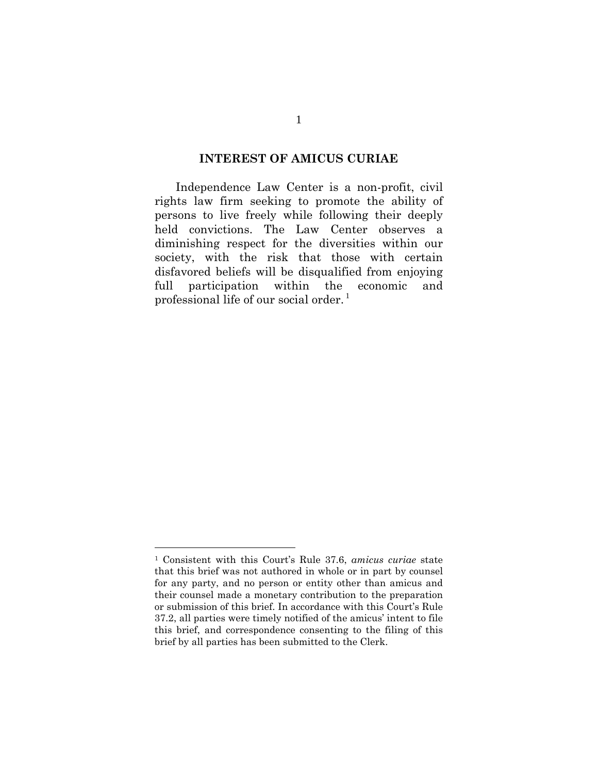#### **INTEREST OF AMICUS CURIAE**

Independence Law Center is a non-profit, civil rights law firm seeking to promote the ability of persons to live freely while following their deeply held convictions. The Law Center observes a diminishing respect for the diversities within our society, with the risk that those with certain disfavored beliefs will be disqualified from enjoying full participation within the economic and professional life of our social order.<sup>1</sup>

 $\overline{a}$ 

<sup>1</sup> Consistent with this Court's Rule 37.6, *amicus curiae* state that this brief was not authored in whole or in part by counsel for any party, and no person or entity other than amicus and their counsel made a monetary contribution to the preparation or submission of this brief. In accordance with this Court's Rule 37.2, all parties were timely notified of the amicus' intent to file this brief, and correspondence consenting to the filing of this brief by all parties has been submitted to the Clerk.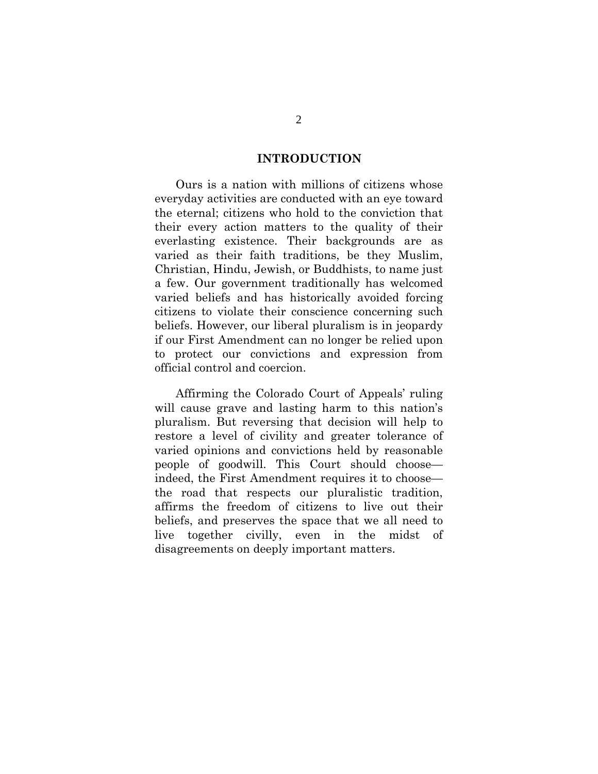### **INTRODUCTION**

Ours is a nation with millions of citizens whose everyday activities are conducted with an eye toward the eternal; citizens who hold to the conviction that their every action matters to the quality of their everlasting existence. Their backgrounds are as varied as their faith traditions, be they Muslim, Christian, Hindu, Jewish, or Buddhists, to name just a few. Our government traditionally has welcomed varied beliefs and has historically avoided forcing citizens to violate their conscience concerning such beliefs. However, our liberal pluralism is in jeopardy if our First Amendment can no longer be relied upon to protect our convictions and expression from official control and coercion.

Affirming the Colorado Court of Appeals' ruling will cause grave and lasting harm to this nation's pluralism. But reversing that decision will help to restore a level of civility and greater tolerance of varied opinions and convictions held by reasonable people of goodwill. This Court should choose indeed, the First Amendment requires it to choose the road that respects our pluralistic tradition, affirms the freedom of citizens to live out their beliefs, and preserves the space that we all need to live together civilly, even in the midst of disagreements on deeply important matters.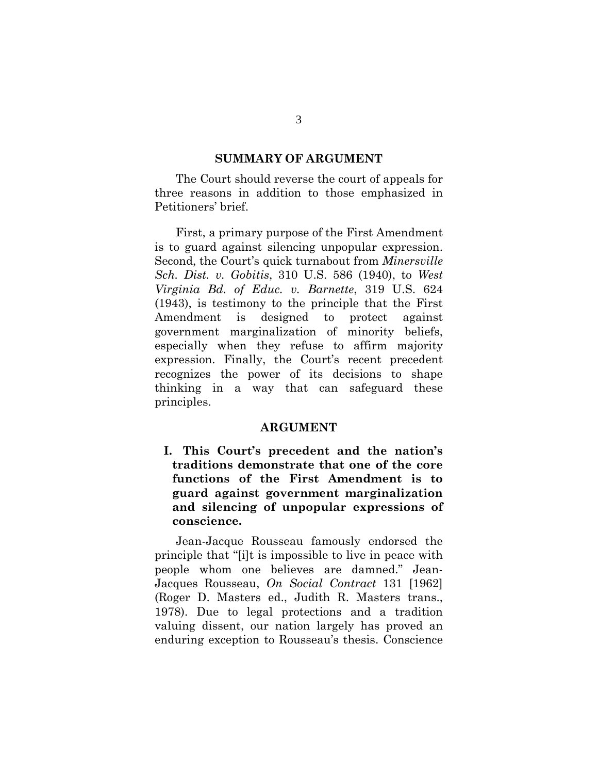#### **SUMMARY OF ARGUMENT**

The Court should reverse the court of appeals for three reasons in addition to those emphasized in Petitioners' brief.

First, a primary purpose of the First Amendment is to guard against silencing unpopular expression. Second, the Court's quick turnabout from *Minersville Sch. Dist. v. Gobitis*, 310 U.S. 586 (1940), to *West Virginia Bd. of Educ. v. Barnette*, 319 U.S. 624 (1943), is testimony to the principle that the First Amendment is designed to protect against government marginalization of minority beliefs, especially when they refuse to affirm majority expression. Finally, the Court's recent precedent recognizes the power of its decisions to shape thinking in a way that can safeguard these principles.

#### **ARGUMENT**

**I. This Court's precedent and the nation's traditions demonstrate that one of the core functions of the First Amendment is to guard against government marginalization and silencing of unpopular expressions of conscience.** 

Jean-Jacque Rousseau famously endorsed the principle that "[i]t is impossible to live in peace with people whom one believes are damned." Jean-Jacques Rousseau, *On Social Contract* 131 [1962] (Roger D. Masters ed., Judith R. Masters trans., 1978). Due to legal protections and a tradition valuing dissent, our nation largely has proved an enduring exception to Rousseau's thesis. Conscience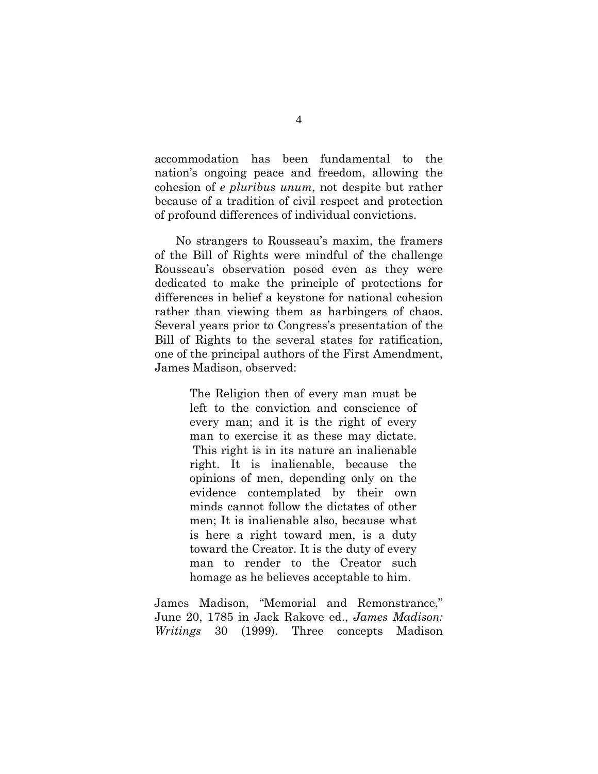accommodation has been fundamental to the nation's ongoing peace and freedom, allowing the cohesion of *e pluribus unum*, not despite but rather because of a tradition of civil respect and protection of profound differences of individual convictions.

No strangers to Rousseau's maxim, the framers of the Bill of Rights were mindful of the challenge Rousseau's observation posed even as they were dedicated to make the principle of protections for differences in belief a keystone for national cohesion rather than viewing them as harbingers of chaos. Several years prior to Congress's presentation of the Bill of Rights to the several states for ratification, one of the principal authors of the First Amendment, James Madison, observed:

> The Religion then of every man must be left to the conviction and conscience of every man; and it is the right of every man to exercise it as these may dictate. This right is in its nature an inalienable right. It is inalienable, because the opinions of men, depending only on the evidence contemplated by their own minds cannot follow the dictates of other men; It is inalienable also, because what is here a right toward men, is a duty toward the Creator. It is the duty of every man to render to the Creator such homage as he believes acceptable to him.

James Madison, "Memorial and Remonstrance," June 20, 1785 in Jack Rakove ed., *James Madison: Writings* 30 (1999). Three concepts Madison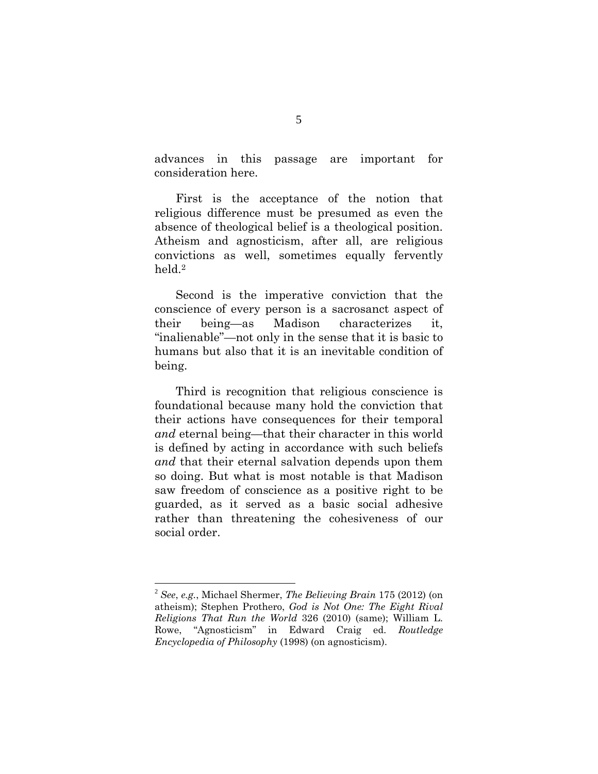advances in this passage are important for consideration here.

First is the acceptance of the notion that religious difference must be presumed as even the absence of theological belief is a theological position. Atheism and agnosticism, after all, are religious convictions as well, sometimes equally fervently held.2

Second is the imperative conviction that the conscience of every person is a sacrosanct aspect of their being—as Madison characterizes it, "inalienable"—not only in the sense that it is basic to humans but also that it is an inevitable condition of being.

Third is recognition that religious conscience is foundational because many hold the conviction that their actions have consequences for their temporal *and* eternal being—that their character in this world is defined by acting in accordance with such beliefs *and* that their eternal salvation depends upon them so doing. But what is most notable is that Madison saw freedom of conscience as a positive right to be guarded, as it served as a basic social adhesive rather than threatening the cohesiveness of our social order.

 $\overline{a}$ 

<sup>2</sup> *See*, *e.g.*, Michael Shermer, *The Believing Brain* 175 (2012) (on atheism); Stephen Prothero, *God is Not One: The Eight Rival Religions That Run the World* 326 (2010) (same); William L. Rowe, "Agnosticism" in Edward Craig ed. *Routledge Encyclopedia of Philosophy* (1998) (on agnosticism).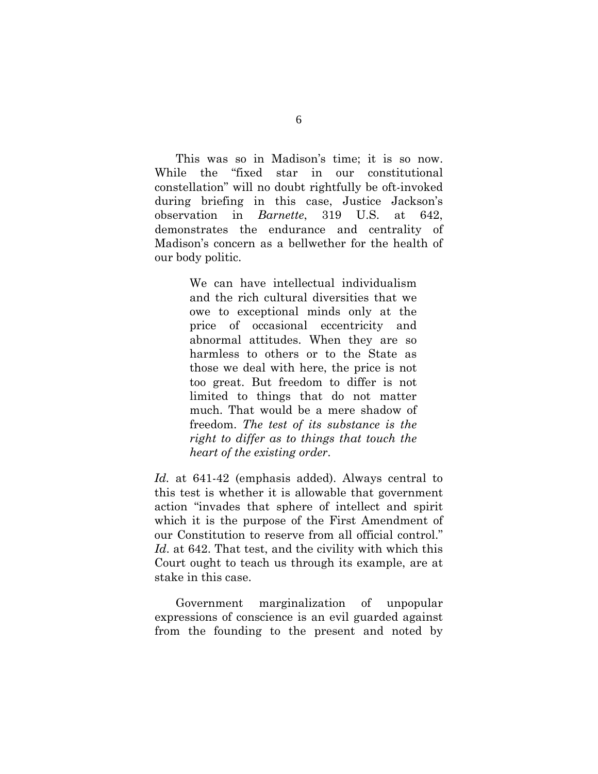This was so in Madison's time; it is so now. While the "fixed star in our constitutional constellation" will no doubt rightfully be oft-invoked during briefing in this case, Justice Jackson's observation in *Barnette*, 319 U.S. at 642, demonstrates the endurance and centrality of Madison's concern as a bellwether for the health of our body politic.

> We can have intellectual individualism and the rich cultural diversities that we owe to exceptional minds only at the price of occasional eccentricity and abnormal attitudes. When they are so harmless to others or to the State as those we deal with here, the price is not too great. But freedom to differ is not limited to things that do not matter much. That would be a mere shadow of freedom. *The test of its substance is the right to differ as to things that touch the heart of the existing order*.

*Id.* at 641-42 (emphasis added). Always central to this test is whether it is allowable that government action "invades that sphere of intellect and spirit which it is the purpose of the First Amendment of our Constitution to reserve from all official control." *Id*. at 642. That test, and the civility with which this Court ought to teach us through its example, are at stake in this case.

Government marginalization of unpopular expressions of conscience is an evil guarded against from the founding to the present and noted by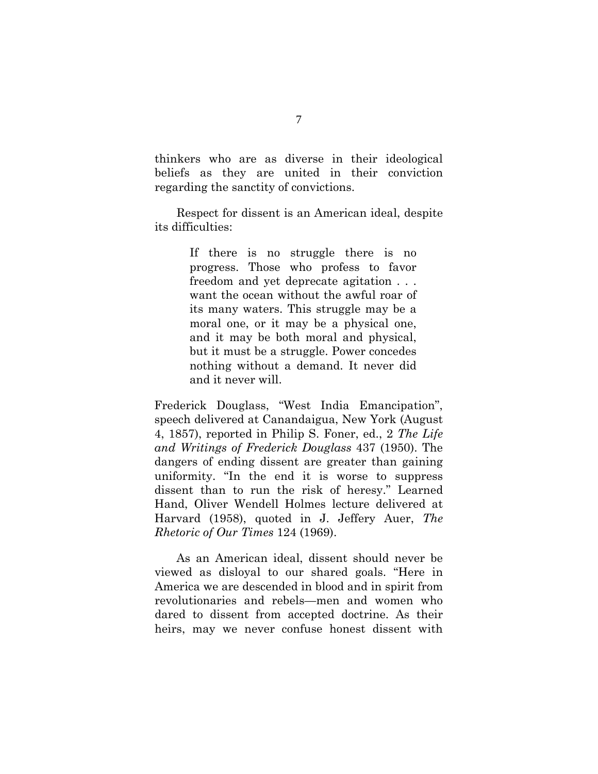thinkers who are as diverse in their ideological beliefs as they are united in their conviction regarding the sanctity of convictions.

Respect for dissent is an American ideal, despite its difficulties:

> If there is no struggle there is no progress. Those who profess to favor freedom and yet deprecate agitation . . . want the ocean without the awful roar of its many waters. This struggle may be a moral one, or it may be a physical one, and it may be both moral and physical, but it must be a struggle. Power concedes nothing without a demand. It never did and it never will.

Frederick Douglass, "West India Emancipation", speech delivered at Canandaigua, New York (August 4, 1857), reported in Philip S. Foner, ed., 2 *The Life and Writings of Frederick Douglass* 437 (1950). The dangers of ending dissent are greater than gaining uniformity. "In the end it is worse to suppress dissent than to run the risk of heresy." Learned Hand, Oliver Wendell Holmes lecture delivered at Harvard (1958), quoted in J. Jeffery Auer, *The Rhetoric of Our Times* 124 (1969).

As an American ideal, dissent should never be viewed as disloyal to our shared goals. "Here in America we are descended in blood and in spirit from revolutionaries and rebels—men and women who dared to dissent from accepted doctrine. As their heirs, may we never confuse honest dissent with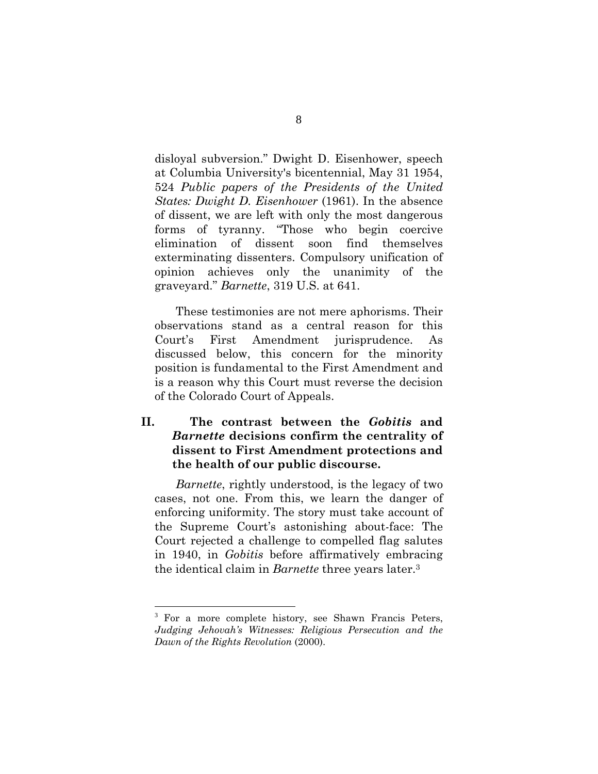disloyal subversion." Dwight D. Eisenhower, speech at Columbia University's bicentennial, May 31 1954, 524 *Public papers of the Presidents of the United States: Dwight D. Eisenhower* (1961). In the absence of dissent, we are left with only the most dangerous forms of tyranny. "Those who begin coercive elimination of dissent soon find themselves exterminating dissenters. Compulsory unification of opinion achieves only the unanimity of the graveyard." *Barnette*, 319 U.S. at 641.

These testimonies are not mere aphorisms. Their observations stand as a central reason for this Court's First Amendment jurisprudence. As discussed below, this concern for the minority position is fundamental to the First Amendment and is a reason why this Court must reverse the decision of the Colorado Court of Appeals.

## **II. The contrast between the** *Gobitis* **and**  *Barnette* **decisions confirm the centrality of dissent to First Amendment protections and the health of our public discourse.**

*Barnette*, rightly understood, is the legacy of two cases, not one. From this, we learn the danger of enforcing uniformity. The story must take account of the Supreme Court's astonishing about-face: The Court rejected a challenge to compelled flag salutes in 1940, in *Gobitis* before affirmatively embracing the identical claim in *Barnette* three years later.3

 $\overline{a}$ 

<sup>&</sup>lt;sup>3</sup> For a more complete history, see Shawn Francis Peters, *Judging Jehovah's Witnesses: Religious Persecution and the Dawn of the Rights Revolution* (2000).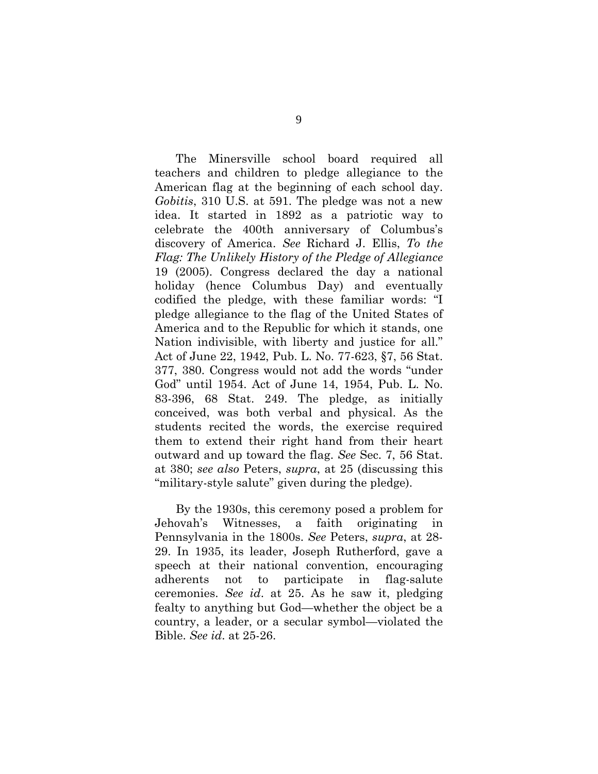The Minersville school board required all teachers and children to pledge allegiance to the American flag at the beginning of each school day. *Gobitis*, 310 U.S. at 591. The pledge was not a new idea. It started in 1892 as a patriotic way to celebrate the 400th anniversary of Columbus's discovery of America. *See* Richard J. Ellis, *To the Flag: The Unlikely History of the Pledge of Allegiance* 19 (2005). Congress declared the day a national holiday (hence Columbus Day) and eventually codified the pledge, with these familiar words: "I pledge allegiance to the flag of the United States of America and to the Republic for which it stands, one Nation indivisible, with liberty and justice for all." Act of June 22, 1942, Pub. L. No. 77-623, §7, 56 Stat. 377, 380. Congress would not add the words "under God" until 1954. Act of June 14, 1954, Pub. L. No. 83-396, 68 Stat. 249. The pledge, as initially conceived, was both verbal and physical. As the students recited the words, the exercise required them to extend their right hand from their heart outward and up toward the flag. *See* Sec. 7, 56 Stat. at 380; *see also* Peters, *supra*, at 25 (discussing this "military-style salute" given during the pledge).

By the 1930s, this ceremony posed a problem for Jehovah's Witnesses, a faith originating in Pennsylvania in the 1800s. *See* Peters, *supra*, at 28- 29. In 1935, its leader, Joseph Rutherford, gave a speech at their national convention, encouraging adherents not to participate in flag-salute ceremonies. *See id*. at 25. As he saw it, pledging fealty to anything but God—whether the object be a country, a leader, or a secular symbol—violated the Bible. *See id*. at 25-26.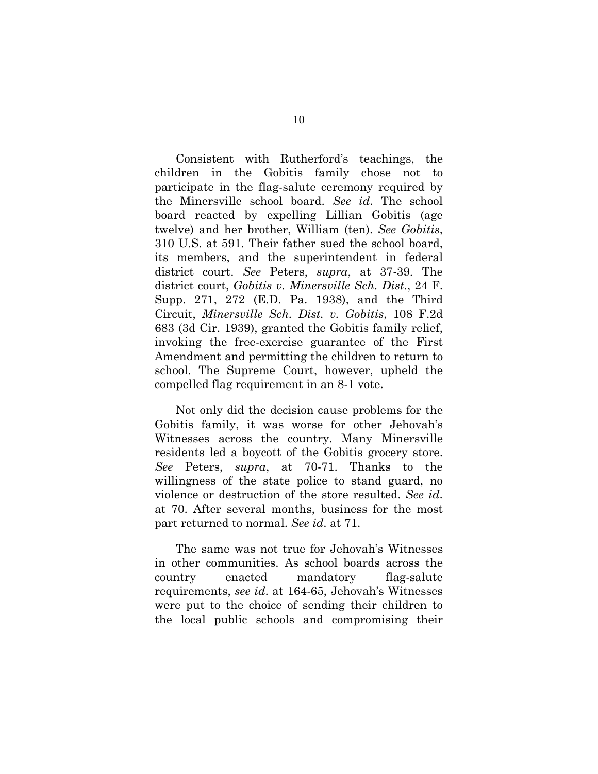Consistent with Rutherford's teachings, the children in the Gobitis family chose not to participate in the flag-salute ceremony required by the Minersville school board. *See id*. The school board reacted by expelling Lillian Gobitis (age twelve) and her brother, William (ten). *See Gobitis*, 310 U.S. at 591. Their father sued the school board, its members, and the superintendent in federal district court. *See* Peters, *supra*, at 37-39. The district court, *Gobitis v. Minersville Sch. Dist.*, 24 F. Supp. 271, 272 (E.D. Pa. 1938), and the Third Circuit, *Minersville Sch. Dist. v. Gobitis*, 108 F.2d 683 (3d Cir. 1939), granted the Gobitis family relief, invoking the free-exercise guarantee of the First Amendment and permitting the children to return to school. The Supreme Court, however, upheld the compelled flag requirement in an 8-1 vote.

Not only did the decision cause problems for the Gobitis family, it was worse for other Jehovah's Witnesses across the country. Many Minersville residents led a boycott of the Gobitis grocery store. *See* Peters, *supra*, at 70-71. Thanks to the willingness of the state police to stand guard, no violence or destruction of the store resulted. *See id*. at 70. After several months, business for the most part returned to normal. *See id*. at 71.

The same was not true for Jehovah's Witnesses in other communities. As school boards across the country enacted mandatory flag-salute requirements, *see id*. at 164-65, Jehovah's Witnesses were put to the choice of sending their children to the local public schools and compromising their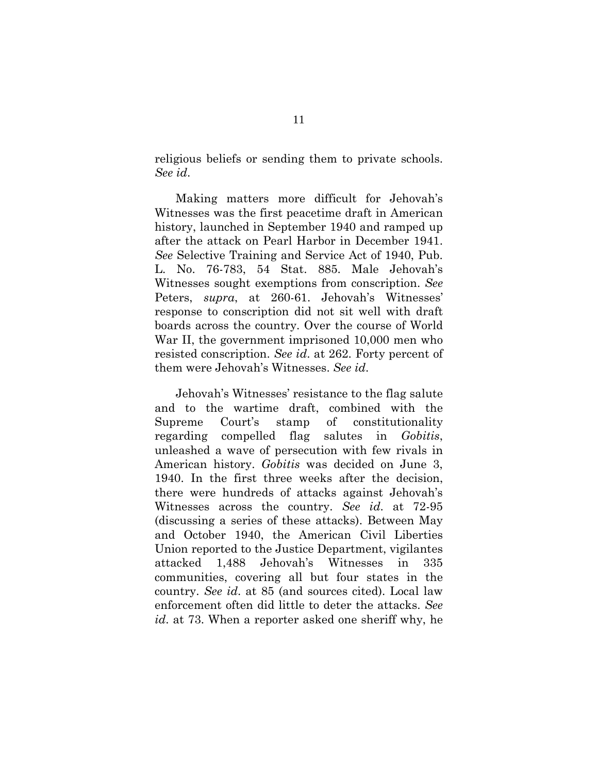religious beliefs or sending them to private schools. *See id*.

Making matters more difficult for Jehovah's Witnesses was the first peacetime draft in American history, launched in September 1940 and ramped up after the attack on Pearl Harbor in December 1941. *See* Selective Training and Service Act of 1940, Pub. L. No. 76-783, 54 Stat. 885. Male Jehovah's Witnesses sought exemptions from conscription. *See*  Peters, *supra*, at 260-61. Jehovah's Witnesses' response to conscription did not sit well with draft boards across the country. Over the course of World War II, the government imprisoned 10,000 men who resisted conscription. *See id*. at 262. Forty percent of them were Jehovah's Witnesses. *See id*.

Jehovah's Witnesses' resistance to the flag salute and to the wartime draft, combined with the Supreme Court's stamp of constitutionality regarding compelled flag salutes in *Gobitis*, unleashed a wave of persecution with few rivals in American history. *Gobitis* was decided on June 3, 1940. In the first three weeks after the decision, there were hundreds of attacks against Jehovah's Witnesses across the country. *See id*. at 72-95 (discussing a series of these attacks). Between May and October 1940, the American Civil Liberties Union reported to the Justice Department, vigilantes attacked 1,488 Jehovah's Witnesses in 335 communities, covering all but four states in the country. *See id*. at 85 (and sources cited). Local law enforcement often did little to deter the attacks. *See id*. at 73. When a reporter asked one sheriff why, he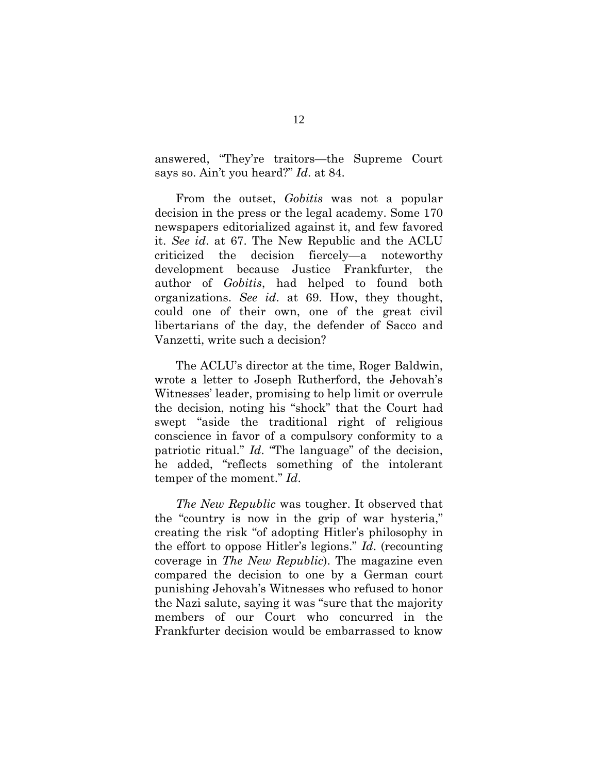answered, "They're traitors—the Supreme Court says so. Ain't you heard?" *Id*. at 84.

From the outset, *Gobitis* was not a popular decision in the press or the legal academy. Some 170 newspapers editorialized against it, and few favored it. *See id*. at 67. The New Republic and the ACLU criticized the decision fiercely—a noteworthy development because Justice Frankfurter, the author of *Gobitis*, had helped to found both organizations. *See id*. at 69. How, they thought, could one of their own, one of the great civil libertarians of the day, the defender of Sacco and Vanzetti, write such a decision?

The ACLU's director at the time, Roger Baldwin, wrote a letter to Joseph Rutherford, the Jehovah's Witnesses' leader, promising to help limit or overrule the decision, noting his "shock" that the Court had swept "aside the traditional right of religious conscience in favor of a compulsory conformity to a patriotic ritual." *Id*. "The language" of the decision, he added, "reflects something of the intolerant temper of the moment." *Id*.

*The New Republic* was tougher. It observed that the "country is now in the grip of war hysteria," creating the risk "of adopting Hitler's philosophy in the effort to oppose Hitler's legions." *Id*. (recounting coverage in *The New Republic*). The magazine even compared the decision to one by a German court punishing Jehovah's Witnesses who refused to honor the Nazi salute, saying it was "sure that the majority members of our Court who concurred in the Frankfurter decision would be embarrassed to know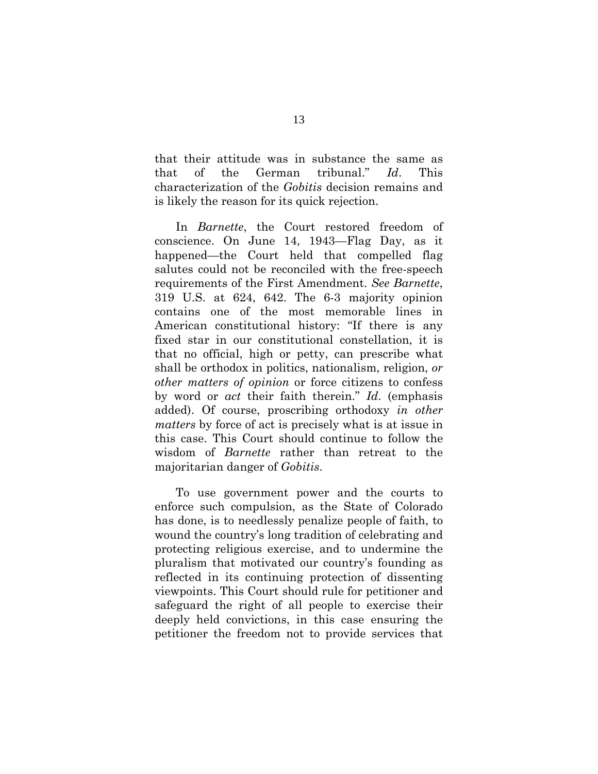that their attitude was in substance the same as that of the German tribunal." *Id*. This characterization of the *Gobitis* decision remains and is likely the reason for its quick rejection.

In *Barnette*, the Court restored freedom of conscience. On June 14, 1943—Flag Day, as it happened—the Court held that compelled flag salutes could not be reconciled with the free-speech requirements of the First Amendment. *See Barnette*, 319 U.S. at 624, 642. The 6-3 majority opinion contains one of the most memorable lines in American constitutional history: "If there is any fixed star in our constitutional constellation, it is that no official, high or petty, can prescribe what shall be orthodox in politics, nationalism, religion, *or other matters of opinion* or force citizens to confess by word or *act* their faith therein." *Id*. (emphasis added). Of course, proscribing orthodoxy *in other matters* by force of act is precisely what is at issue in this case. This Court should continue to follow the wisdom of *Barnette* rather than retreat to the majoritarian danger of *Gobitis*.

To use government power and the courts to enforce such compulsion, as the State of Colorado has done, is to needlessly penalize people of faith, to wound the country's long tradition of celebrating and protecting religious exercise, and to undermine the pluralism that motivated our country's founding as reflected in its continuing protection of dissenting viewpoints. This Court should rule for petitioner and safeguard the right of all people to exercise their deeply held convictions, in this case ensuring the petitioner the freedom not to provide services that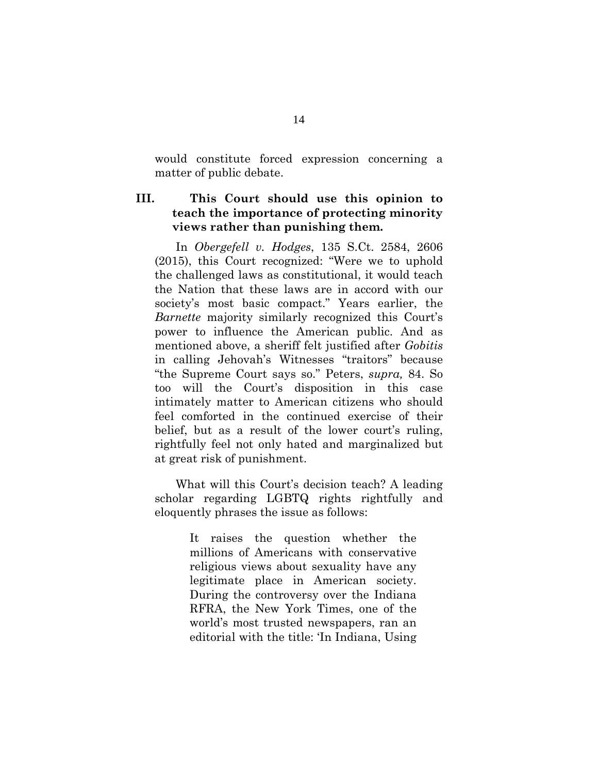would constitute forced expression concerning a matter of public debate.

## **III. This Court should use this opinion to teach the importance of protecting minority views rather than punishing them.**

In *Obergefell v. Hodges*, 135 S.Ct. 2584, 2606 (2015), this Court recognized: "Were we to uphold the challenged laws as constitutional, it would teach the Nation that these laws are in accord with our society's most basic compact." Years earlier, the *Barnette* majority similarly recognized this Court's power to influence the American public. And as mentioned above, a sheriff felt justified after *Gobitis*  in calling Jehovah's Witnesses "traitors" because "the Supreme Court says so." Peters, *supra,* 84. So too will the Court's disposition in this case intimately matter to American citizens who should feel comforted in the continued exercise of their belief, but as a result of the lower court's ruling, rightfully feel not only hated and marginalized but at great risk of punishment.

What will this Court's decision teach? A leading scholar regarding LGBTQ rights rightfully and eloquently phrases the issue as follows:

> It raises the question whether the millions of Americans with conservative religious views about sexuality have any legitimate place in American society. During the controversy over the Indiana RFRA, the New York Times, one of the world's most trusted newspapers, ran an editorial with the title: 'In Indiana, Using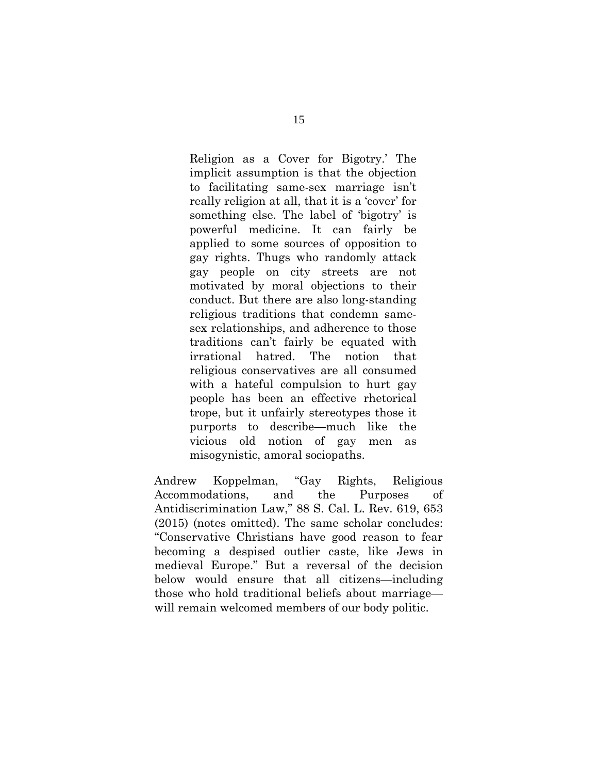Religion as a Cover for Bigotry.' The implicit assumption is that the objection to facilitating same-sex marriage isn't really religion at all, that it is a 'cover' for something else. The label of 'bigotry' is powerful medicine. It can fairly be applied to some sources of opposition to gay rights. Thugs who randomly attack gay people on city streets are not motivated by moral objections to their conduct. But there are also long-standing religious traditions that condemn samesex relationships, and adherence to those traditions can't fairly be equated with irrational hatred. The notion that religious conservatives are all consumed with a hateful compulsion to hurt gay people has been an effective rhetorical trope, but it unfairly stereotypes those it purports to describe—much like the vicious old notion of gay men as misogynistic, amoral sociopaths.

Andrew Koppelman, "Gay Rights, Religious Accommodations, and the Purposes of Antidiscrimination Law," 88 S. Cal. L. Rev. 619, 653 (2015) (notes omitted). The same scholar concludes: "Conservative Christians have good reason to fear becoming a despised outlier caste, like Jews in medieval Europe." But a reversal of the decision below would ensure that all citizens—including those who hold traditional beliefs about marriage will remain welcomed members of our body politic.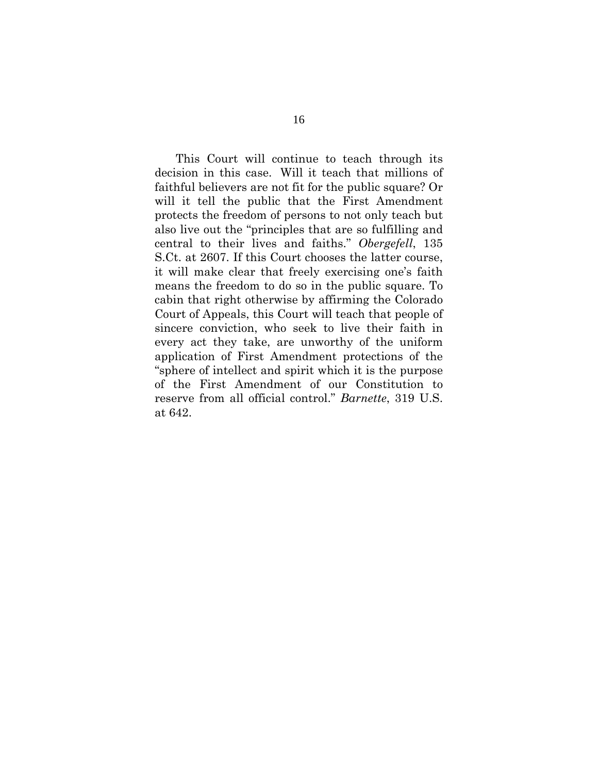This Court will continue to teach through its decision in this case. Will it teach that millions of faithful believers are not fit for the public square? Or will it tell the public that the First Amendment protects the freedom of persons to not only teach but also live out the "principles that are so fulfilling and central to their lives and faiths." *Obergefell*, 135 S.Ct. at 2607. If this Court chooses the latter course, it will make clear that freely exercising one's faith means the freedom to do so in the public square. To cabin that right otherwise by affirming the Colorado Court of Appeals, this Court will teach that people of sincere conviction, who seek to live their faith in every act they take, are unworthy of the uniform application of First Amendment protections of the "sphere of intellect and spirit which it is the purpose of the First Amendment of our Constitution to reserve from all official control." *Barnette*, 319 U.S. at 642.